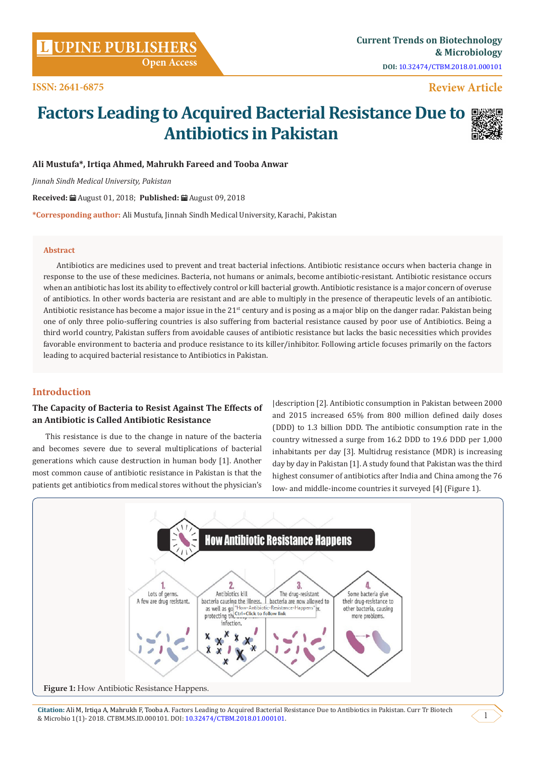# **Review Article**

# **Factors Leading to Acquired Bacterial Resistance Due to Antibiotics in Pakistan**



# **Ali Mustufa\*, Irtiqa Ahmed, Mahrukh Fareed and Tooba Anwar**

*Jinnah Sindh Medical University, Pakistan*

**Received:** August 01, 2018; **Published:** August 09, 2018

**\*Corresponding author:** Ali Mustufa, Jinnah Sindh Medical University, Karachi, Pakistan

### **Abstract**

Antibiotics are medicines used to prevent and treat bacterial infections. Antibiotic resistance occurs when bacteria change in response to the use of these medicines. Bacteria, not humans or animals, become antibiotic-resistant. Antibiotic resistance occurs when an antibiotic has lost its ability to effectively control or kill bacterial growth. Antibiotic resistance is a major concern of overuse of antibiotics. In other words bacteria are resistant and are able to multiply in the presence of therapeutic levels of an antibiotic. Antibiotic resistance has become a major issue in the  $21<sup>st</sup>$  century and is posing as a major blip on the danger radar. Pakistan being one of only three polio-suffering countries is also suffering from bacterial resistance caused by poor use of Antibiotics. Being a third world country, Pakistan suffers from avoidable causes of antibiotic resistance but lacks the basic necessities which provides favorable environment to bacteria and produce resistance to its killer/inhibitor. Following article focuses primarily on the factors leading to acquired bacterial resistance to Antibiotics in Pakistan.

# **Introduction**

# **The Capacity of Bacteria to Resist Against The Effects of an Antibiotic is Called Antibiotic Resistance**

This resistance is due to the change in nature of the bacteria and becomes severe due to several multiplications of bacterial generations which cause destruction in human body [1]. Another most common cause of antibiotic resistance in Pakistan is that the patients get antibiotics from medical stores without the physician's

|description [2]. Antibiotic consumption in Pakistan between 2000 and 2015 increased 65% from 800 million defined daily doses (DDD) to 1.3 billion DDD. The antibiotic consumption rate in the country witnessed a surge from 16.2 DDD to 19.6 DDD per 1,000 inhabitants per day [3]. Multidrug resistance (MDR) is increasing day by day in Pakistan [1]. A study found that Pakistan was the third highest consumer of antibiotics after India and China among the 76 low- and middle-income countries it surveyed [4] (Figure 1).



**Citation:** Ali M, Irtiqa A, Mahrukh F, Tooba A. Factors Leading to Acquired Bacterial Resistance Due to Antibiotics in Pakistan. Curr Tr Biotech & Microbio 1(1)- 2018. CTBM.MS.ID.000101. DOI: [10.32474/CTBM.2018.01.000101](http://dx.doi.org/10.32474/CTBM.2018.01.000101).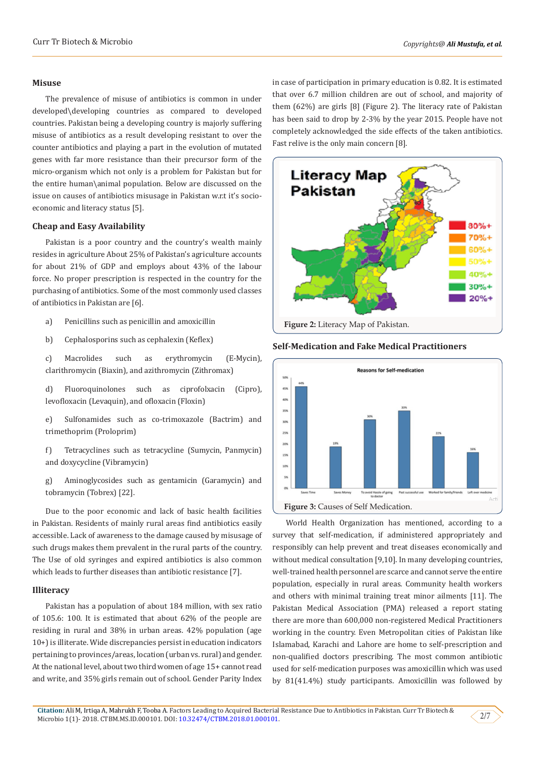#### **Misuse**

The prevalence of misuse of antibiotics is common in under developed\developing countries as compared to developed countries. Pakistan being a developing country is majorly suffering misuse of antibiotics as a result developing resistant to over the counter antibiotics and playing a part in the evolution of mutated genes with far more resistance than their precursor form of the micro-organism which not only is a problem for Pakistan but for the entire human\animal population. Below are discussed on the issue on causes of antibiotics misusage in Pakistan w.r.t it's socioeconomic and literacy status [5].

#### **Cheap and Easy Availability**

Pakistan is a poor country and the country's wealth mainly resides in agriculture About 25% of Pakistan's agriculture accounts for about 21% of GDP and employs about 43% of the labour force. No proper prescription is respected in the country for the purchasing of antibiotics. Some of the most commonly used classes of antibiotics in Pakistan are [6].

- a) Penicillins such as penicillin and amoxicillin
- b) Cephalosporins such as cephalexin (Keflex)

c) Macrolides such as erythromycin (E-Mycin), clarithromycin (Biaxin), and azithromycin (Zithromax)

d) Fluoroquinolones such as ciprofolxacin (Cipro), levofloxacin (Levaquin), and ofloxacin (Floxin)

e) Sulfonamides such as co-trimoxazole (Bactrim) and trimethoprim (Proloprim)

f) Tetracyclines such as tetracycline (Sumycin, Panmycin) and doxycycline (Vibramycin)

g) Aminoglycosides such as gentamicin (Garamycin) and tobramycin (Tobrex) [22].

Due to the poor economic and lack of basic health facilities in Pakistan. Residents of mainly rural areas find antibiotics easily accessible. Lack of awareness to the damage caused by misusage of such drugs makes them prevalent in the rural parts of the country. The Use of old syringes and expired antibiotics is also common which leads to further diseases than antibiotic resistance [7].

#### **Illiteracy**

Pakistan has a population of about 184 million, with sex ratio of 105.6: 100. It is estimated that about 62% of the people are residing in rural and 38% in urban areas. 42% population (age 10+) is illiterate. Wide discrepancies persist in education indicators pertaining to provinces/areas, location (urban vs. rural) and gender. At the national level, about two third women of age 15+ cannot read and write, and 35% girls remain out of school. Gender Parity Index in case of participation in primary education is 0.82. It is estimated that over 6.7 million children are out of school, and majority of them (62%) are girls [8] (Figure 2). The literacy rate of Pakistan has been said to drop by 2-3% by the year 2015. People have not completely acknowledged the side effects of the taken antibiotics. Fast relive is the only main concern [8].



#### **Self-Medication and Fake Medical Practitioners**



World Health Organization has mentioned, according to a survey that self-medication, if administered appropriately and responsibly can help prevent and treat diseases economically and without medical consultation [9,10]. In many developing countries, well-trained health personnel are scarce and cannot serve the entire population, especially in rural areas. Community health workers and others with minimal training treat minor ailments [11]. The Pakistan Medical Association (PMA) released a report stating there are more than 600,000 non-registered Medical Practitioners working in the country. Even Metropolitan cities of Pakistan like Islamabad, Karachi and Lahore are home to self-prescription and non-qualified doctors prescribing. The most common antibiotic used for self-medication purposes was amoxicillin which was used by 81(41.4%) study participants. Amoxicillin was followed by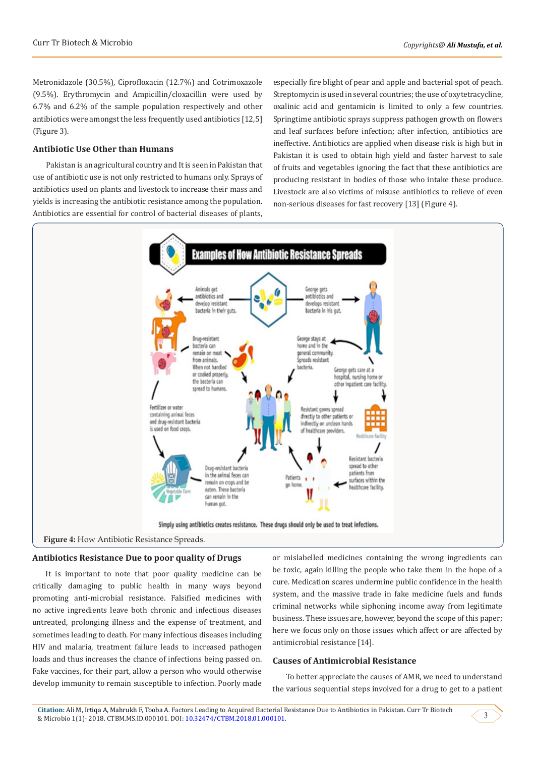Metronidazole (30.5%), Ciprofloxacin (12.7%) and Cotrimoxazole (9.5%). Erythromycin and Ampicillin/cloxacillin were used by 6.7% and 6.2% of the sample population respectively and other antibiotics were amongst the less frequently used antibiotics [12,5] (Figure 3).

#### **Antibiotic Use Other than Humans**

Pakistan is an agricultural country and It is seen in Pakistan that use of antibiotic use is not only restricted to humans only. Sprays of antibiotics used on plants and livestock to increase their mass and yields is increasing the antibiotic resistance among the population. Antibiotics are essential for control of bacterial diseases of plants,

especially fire blight of pear and apple and bacterial spot of peach. Streptomycin is used in several countries; the use of oxytetracycline, oxalinic acid and gentamicin is limited to only a few countries. Springtime antibiotic sprays suppress pathogen growth on flowers and leaf surfaces before infection; after infection, antibiotics are ineffective. Antibiotics are applied when disease risk is high but in Pakistan it is used to obtain high yield and faster harvest to sale of fruits and vegetables ignoring the fact that these antibiotics are producing resistant in bodies of those who intake these produce. Livestock are also victims of misuse antibiotics to relieve of even non-serious diseases for fast recovery [13] (Figure 4).



#### **Antibiotics Resistance Due to poor quality of Drugs**

It is important to note that poor quality medicine can be critically damaging to public health in many ways beyond promoting anti-microbial resistance. Falsified medicines with no active ingredients leave both chronic and infectious diseases untreated, prolonging illness and the expense of treatment, and sometimes leading to death. For many infectious diseases including HIV and malaria, treatment failure leads to increased pathogen loads and thus increases the chance of infections being passed on. Fake vaccines, for their part, allow a person who would otherwise develop immunity to remain susceptible to infection. Poorly made

or mislabelled medicines containing the wrong ingredients can be toxic, again killing the people who take them in the hope of a cure. Medication scares undermine public confidence in the health system, and the massive trade in fake medicine fuels and funds criminal networks while siphoning income away from legitimate business. These issues are, however, beyond the scope of this paper; here we focus only on those issues which affect or are affected by antimicrobial resistance [14].

#### **Causes of Antimicrobial Resistance**

To better appreciate the causes of AMR, we need to understand the various sequential steps involved for a drug to get to a patient

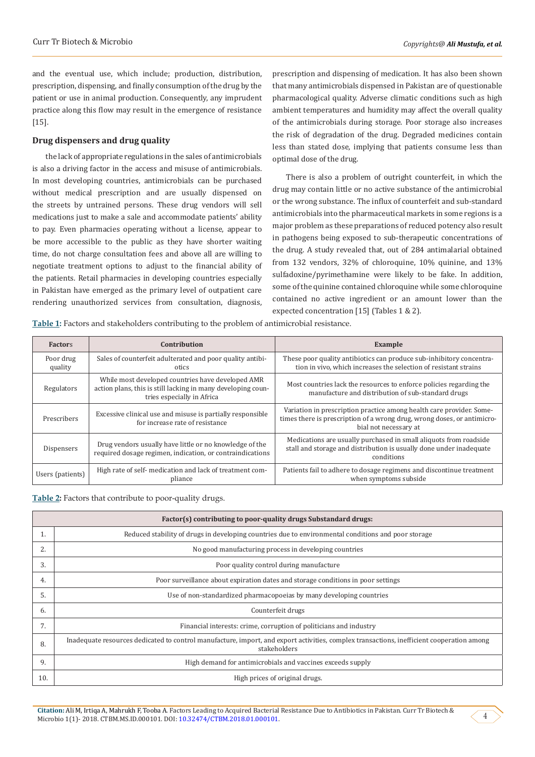and the eventual use, which include; production, distribution, prescription, dispensing, and finally consumption of the drug by the patient or use in animal production. Consequently, any imprudent practice along this flow may result in the emergence of resistance [15].

#### **Drug dispensers and drug quality**

the lack of appropriate regulations in the sales of antimicrobials is also a driving factor in the access and misuse of antimicrobials. In most developing countries, antimicrobials can be purchased without medical prescription and are usually dispensed on the streets by untrained persons. These drug vendors will sell medications just to make a sale and accommodate patients' ability to pay. Even pharmacies operating without a license, appear to be more accessible to the public as they have shorter waiting time, do not charge consultation fees and above all are willing to negotiate treatment options to adjust to the financial ability of the patients. Retail pharmacies in developing countries especially in Pakistan have emerged as the primary level of outpatient care rendering unauthorized services from consultation, diagnosis,

prescription and dispensing of medication. It has also been shown that many antimicrobials dispensed in Pakistan are of questionable pharmacological quality. Adverse climatic conditions such as high ambient temperatures and humidity may affect the overall quality of the antimicrobials during storage. Poor storage also increases the risk of degradation of the drug. Degraded medicines contain less than stated dose, implying that patients consume less than optimal dose of the drug.

There is also a problem of outright counterfeit, in which the drug may contain little or no active substance of the antimicrobial or the wrong substance. The influx of counterfeit and sub-standard antimicrobials into the pharmaceutical markets in some regions is a major problem as these preparations of reduced potency also result in pathogens being exposed to sub-therapeutic concentrations of the drug. A study revealed that, out of 284 antimalarial obtained from 132 vendors, 32% of chloroquine, 10% quinine, and 13% sulfadoxine/pyrimethamine were likely to be fake. In addition, some of the quinine contained chloroquine while some chloroquine contained no active ingredient or an amount lower than the expected concentration [15] (Tables 1 & 2).

**Table 1:** Factors and stakeholders contributing to the problem of antimicrobial resistance.

| <b>Factors</b>       | Contribution                                                                                                                                    | Example                                                                                                                                                                  |
|----------------------|-------------------------------------------------------------------------------------------------------------------------------------------------|--------------------------------------------------------------------------------------------------------------------------------------------------------------------------|
| Poor drug<br>quality | Sales of counterfeit adulterated and poor quality antibi-<br>otics                                                                              | These poor quality antibiotics can produce sub-inhibitory concentra-<br>tion in vivo, which increases the selection of resistant strains                                 |
| Regulators           | While most developed countries have developed AMR<br>action plans, this is still lacking in many developing coun-<br>tries especially in Africa | Most countries lack the resources to enforce policies regarding the<br>manufacture and distribution of sub-standard drugs                                                |
| Prescribers          | Excessive clinical use and misuse is partially responsible<br>for increase rate of resistance                                                   | Variation in prescription practice among health care provider. Some-<br>times there is prescription of a wrong drug, wrong doses, or antimicro-<br>bial not necessary at |
| Dispensers           | Drug vendors usually have little or no knowledge of the<br>required dosage regimen, indication, or contraindications                            | Medications are usually purchased in small aliquots from roadside<br>stall and storage and distribution is usually done under inadequate<br>conditions                   |
| Users (patients)     | High rate of self- medication and lack of treatment com-<br>pliance                                                                             | Patients fail to adhere to dosage regimens and discontinue treatment<br>when symptoms subside                                                                            |

**Table 2:** Factors that contribute to poor-quality drugs.

| Factor(s) contributing to poor-quality drugs Substandard drugs: |                                                                                                                                                           |  |
|-----------------------------------------------------------------|-----------------------------------------------------------------------------------------------------------------------------------------------------------|--|
|                                                                 | Reduced stability of drugs in developing countries due to environmental conditions and poor storage                                                       |  |
| 2.                                                              | No good manufacturing process in developing countries                                                                                                     |  |
| 3.                                                              | Poor quality control during manufacture                                                                                                                   |  |
| 4.                                                              | Poor surveillance about expiration dates and storage conditions in poor settings                                                                          |  |
| 5.                                                              | Use of non-standardized pharmacopoeias by many developing countries                                                                                       |  |
| 6.                                                              | Counterfeit drugs                                                                                                                                         |  |
| 7.                                                              | Financial interests: crime, corruption of politicians and industry                                                                                        |  |
| 8.                                                              | Inadequate resources dedicated to control manufacture, import, and export activities, complex transactions, inefficient cooperation among<br>stakeholders |  |
| 9.                                                              | High demand for antimicrobials and vaccines exceeds supply                                                                                                |  |
| 10.                                                             | High prices of original drugs.                                                                                                                            |  |

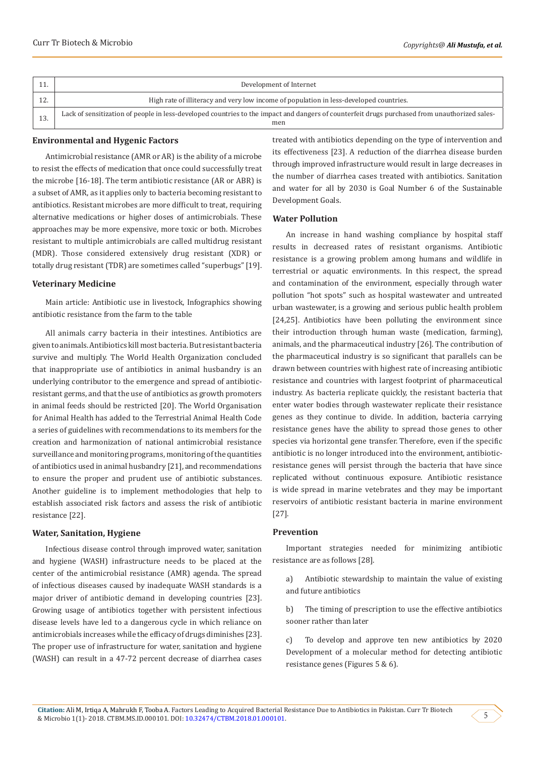| Development of Internet                                                                                                                              |  |
|------------------------------------------------------------------------------------------------------------------------------------------------------|--|
| High rate of illiteracy and very low income of population in less-developed countries.                                                               |  |
| Lack of sensitization of people in less-developed countries to the impact and dangers of counterfeit drugs purchased from unauthorized sales-<br>men |  |

#### **Environmental and Hygenic Factors**

Antimicrobial resistance (AMR or AR) is the ability of a microbe to resist the effects of medication that once could successfully treat the microbe [16-18]. The term antibiotic resistance (AR or ABR) is a subset of AMR, as it applies only to bacteria becoming resistant to antibiotics. Resistant microbes are more difficult to treat, requiring alternative medications or higher doses of antimicrobials. These approaches may be more expensive, more toxic or both. Microbes resistant to multiple antimicrobials are called multidrug resistant (MDR). Those considered extensively drug resistant (XDR) or totally drug resistant (TDR) are sometimes called "superbugs" [19].

#### **Veterinary Medicine**

Main article: Antibiotic use in livestock, Infographics showing antibiotic resistance from the farm to the table

All animals carry bacteria in their intestines. Antibiotics are given to animals. Antibiotics kill most bacteria. But resistant bacteria survive and multiply. The World Health Organization concluded that inappropriate use of antibiotics in animal husbandry is an underlying contributor to the emergence and spread of antibioticresistant germs, and that the use of antibiotics as growth promoters in animal feeds should be restricted [20]. The World Organisation for Animal Health has added to the Terrestrial Animal Health Code a series of guidelines with recommendations to its members for the creation and harmonization of national antimicrobial resistance surveillance and monitoring programs, monitoring of the quantities of antibiotics used in animal husbandry [21], and recommendations to ensure the proper and prudent use of antibiotic substances. Another guideline is to implement methodologies that help to establish associated risk factors and assess the risk of antibiotic resistance [22].

#### **Water, Sanitation, Hygiene**

Infectious disease control through improved water, sanitation and hygiene (WASH) infrastructure needs to be placed at the center of the antimicrobial resistance (AMR) agenda. The spread of infectious diseases caused by inadequate WASH standards is a major driver of antibiotic demand in developing countries [23]. Growing usage of antibiotics together with persistent infectious disease levels have led to a dangerous cycle in which reliance on antimicrobials increases while the efficacy of drugs diminishes [23]. The proper use of infrastructure for water, sanitation and hygiene (WASH) can result in a 47-72 percent decrease of diarrhea cases

treated with antibiotics depending on the type of intervention and its effectiveness [23]. A reduction of the diarrhea disease burden through improved infrastructure would result in large decreases in the number of diarrhea cases treated with antibiotics. Sanitation and water for all by 2030 is Goal Number 6 of the Sustainable Development Goals.

#### **Water Pollution**

An increase in hand washing compliance by hospital staff results in decreased rates of resistant organisms. Antibiotic resistance is a growing problem among humans and wildlife in terrestrial or aquatic environments. In this respect, the spread and contamination of the environment, especially through water pollution "hot spots" such as hospital wastewater and untreated urban wastewater, is a growing and serious public health problem [24,25]. Antibiotics have been polluting the environment since their introduction through human waste (medication, farming), animals, and the pharmaceutical industry [26]. The contribution of the pharmaceutical industry is so significant that parallels can be drawn between countries with highest rate of increasing antibiotic resistance and countries with largest footprint of pharmaceutical industry. As bacteria replicate quickly, the resistant bacteria that enter water bodies through wastewater replicate their resistance genes as they continue to divide. In addition, bacteria carrying resistance genes have the ability to spread those genes to other species via horizontal gene transfer. Therefore, even if the specific antibiotic is no longer introduced into the environment, antibioticresistance genes will persist through the bacteria that have since replicated without continuous exposure. Antibiotic resistance is wide spread in marine vetebrates and they may be important reservoirs of antibiotic resistant bacteria in marine environment [27].

#### **Prevention**

Important strategies needed for minimizing antibiotic resistance are as follows [28].

a) Antibiotic stewardship to maintain the value of existing and future antibiotics

b) The timing of prescription to use the effective antibiotics sooner rather than later

c) To develop and approve ten new antibiotics by 2020 Development of a molecular method for detecting antibiotic resistance genes (Figures 5 & 6).

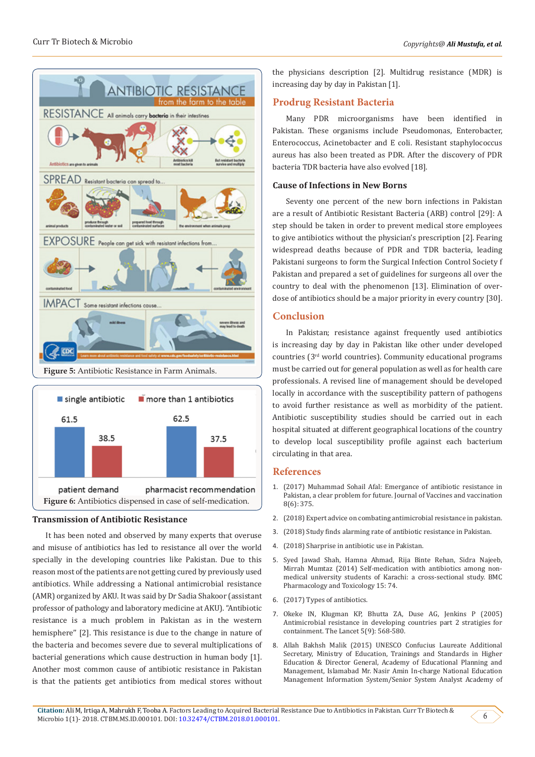



# **Transmission of Antibiotic Resistance**

It has been noted and observed by many experts that overuse and misuse of antibiotics has led to resistance all over the world specially in the developing countries like Pakistan. Due to this reason most of the patients are not getting cured by previously used antibiotics. While addressing a National antimicrobial resistance (AMR) organized by AKU. It was said by Dr Sadia Shakoor (assistant professor of pathology and laboratory medicine at AKU). "Antibiotic resistance is a much problem in Pakistan as in the western hemisphere'' [2]. This resistance is due to the change in nature of the bacteria and becomes severe due to several multiplications of bacterial generations which cause destruction in human body [1]. Another most common cause of antibiotic resistance in Pakistan is that the patients get antibiotics from medical stores without

the physicians description [2]. Multidrug resistance (MDR) is increasing day by day in Pakistan [1].

# **Prodrug Resistant Bacteria**

Many PDR microorganisms have been identified in Pakistan. These organisms include Pseudomonas, Enterobacter, Enterococcus, Acinetobacter and E coli. Resistant staphylococcus aureus has also been treated as PDR. After the discovery of PDR bacteria TDR bacteria have also evolved [18].

# **Cause of Infections in New Borns**

Seventy one percent of the new born infections in Pakistan are a result of Antibiotic Resistant Bacteria (ARB) control [29]: A step should be taken in order to prevent medical store employees to give antibiotics without the physician's prescription [2]. Fearing widespread deaths because of PDR and TDR bacteria, leading Pakistani surgeons to form the Surgical Infection Control Society f Pakistan and prepared a set of guidelines for surgeons all over the country to deal with the phenomenon [13]. Elimination of overdose of antibiotics should be a major priority in every country [30].

### **Conclusion**

In Pakistan; resistance against frequently used antibiotics is increasing day by day in Pakistan like other under developed countries (3rd world countries). Community educational programs must be carried out for general population as well as for health care professionals. A revised line of management should be developed locally in accordance with the susceptibility pattern of pathogens to avoid further resistance as well as morbidity of the patient. Antibiotic susceptibility studies should be carried out in each hospital situated at different geographical locations of the country to develop local susceptibility profile against each bacterium circulating in that area.

# **References**

- 1. (2017) Muhammad Sohail Afal: Emergance of antibiotic resistance in Pakistan, a clear problem for future. Journal of Vaccines and vaccination 8(6): 375.
- 2. (2018) Expert advice on combating antimicrobial resistance in pakistan.
- 3. (2018) Study finds alarming rate of antibiotic resistance in Pakistan.
- 4. (2018) Sharprise in antibiotic use in Pakistan.
- 5. [Syed Jawad Shah, Hamna Ahmad, Rija Binte Rehan, Sidra Najeeb,](https://www.ncbi.nlm.nih.gov/pubmed/25534613/) [Mirrah Mumtaz \(2014\) Self-medication with antibiotics among non](https://www.ncbi.nlm.nih.gov/pubmed/25534613/)[medical university students of Karachi: a cross-sectional study. BMC](https://www.ncbi.nlm.nih.gov/pubmed/25534613/) [Pharmacology and Toxicology 15: 74.](https://www.ncbi.nlm.nih.gov/pubmed/25534613/)
- 6. (2017) Types of antibiotics.
- 7. [Okeke IN, Klugman KP, Bhutta ZA, Duse AG, Jenkins P \(2005\)](https://www.ncbi.nlm.nih.gov/pubmed/16122680) [Antimicrobial resistance in developing countries part 2 stratigies for](https://www.ncbi.nlm.nih.gov/pubmed/16122680) [containment. The Lancet 5\(9\): 568-580.](https://www.ncbi.nlm.nih.gov/pubmed/16122680)
- 8. Allah Bakhsh Malik (2015) UNESCO Confucius Laureate Additional Secretary, Ministry of Education, Trainings and Standards in Higher Education & Director General, Academy of Educational Planning and Management, Islamabad Mr. Nasir Amin In-charge National Education Management Information System/Senior System Analyst Academy of

6